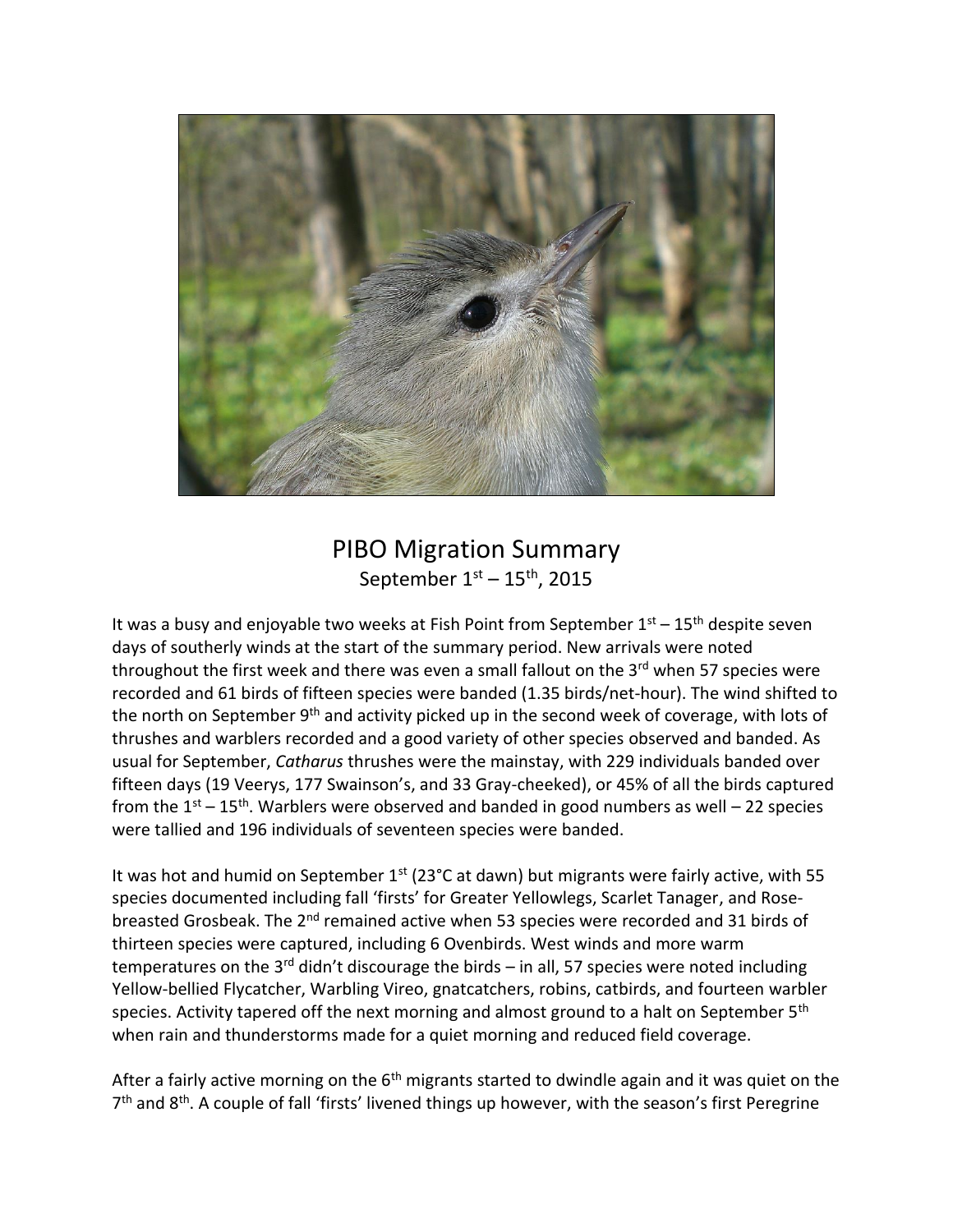

## PIBO Migration Summary September  $1<sup>st</sup> - 15<sup>th</sup>$ , 2015

It was a busy and enjoyable two weeks at Fish Point from September  $1<sup>st</sup> - 15<sup>th</sup>$  despite seven days of southerly winds at the start of the summary period. New arrivals were noted throughout the first week and there was even a small fallout on the  $3<sup>rd</sup>$  when 57 species were recorded and 61 birds of fifteen species were banded (1.35 birds/net-hour). The wind shifted to the north on September 9<sup>th</sup> and activity picked up in the second week of coverage, with lots of thrushes and warblers recorded and a good variety of other species observed and banded. As usual for September, *Catharus* thrushes were the mainstay, with 229 individuals banded over fifteen days (19 Veerys, 177 Swainson's, and 33 Gray-cheeked), or 45% of all the birds captured from the  $1<sup>st</sup> - 15<sup>th</sup>$ . Warblers were observed and banded in good numbers as well – 22 species were tallied and 196 individuals of seventeen species were banded.

It was hot and humid on September  $1<sup>st</sup>$  (23°C at dawn) but migrants were fairly active, with 55 species documented including fall 'firsts' for Greater Yellowlegs, Scarlet Tanager, and Rosebreasted Grosbeak. The 2<sup>nd</sup> remained active when 53 species were recorded and 31 birds of thirteen species were captured, including 6 Ovenbirds. West winds and more warm temperatures on the 3<sup>rd</sup> didn't discourage the birds – in all, 57 species were noted including Yellow-bellied Flycatcher, Warbling Vireo, gnatcatchers, robins, catbirds, and fourteen warbler species. Activity tapered off the next morning and almost ground to a halt on September 5<sup>th</sup> when rain and thunderstorms made for a quiet morning and reduced field coverage.

After a fairly active morning on the  $6<sup>th</sup>$  migrants started to dwindle again and it was quiet on the 7<sup>th</sup> and 8<sup>th</sup>. A couple of fall 'firsts' livened things up however, with the season's first Peregrine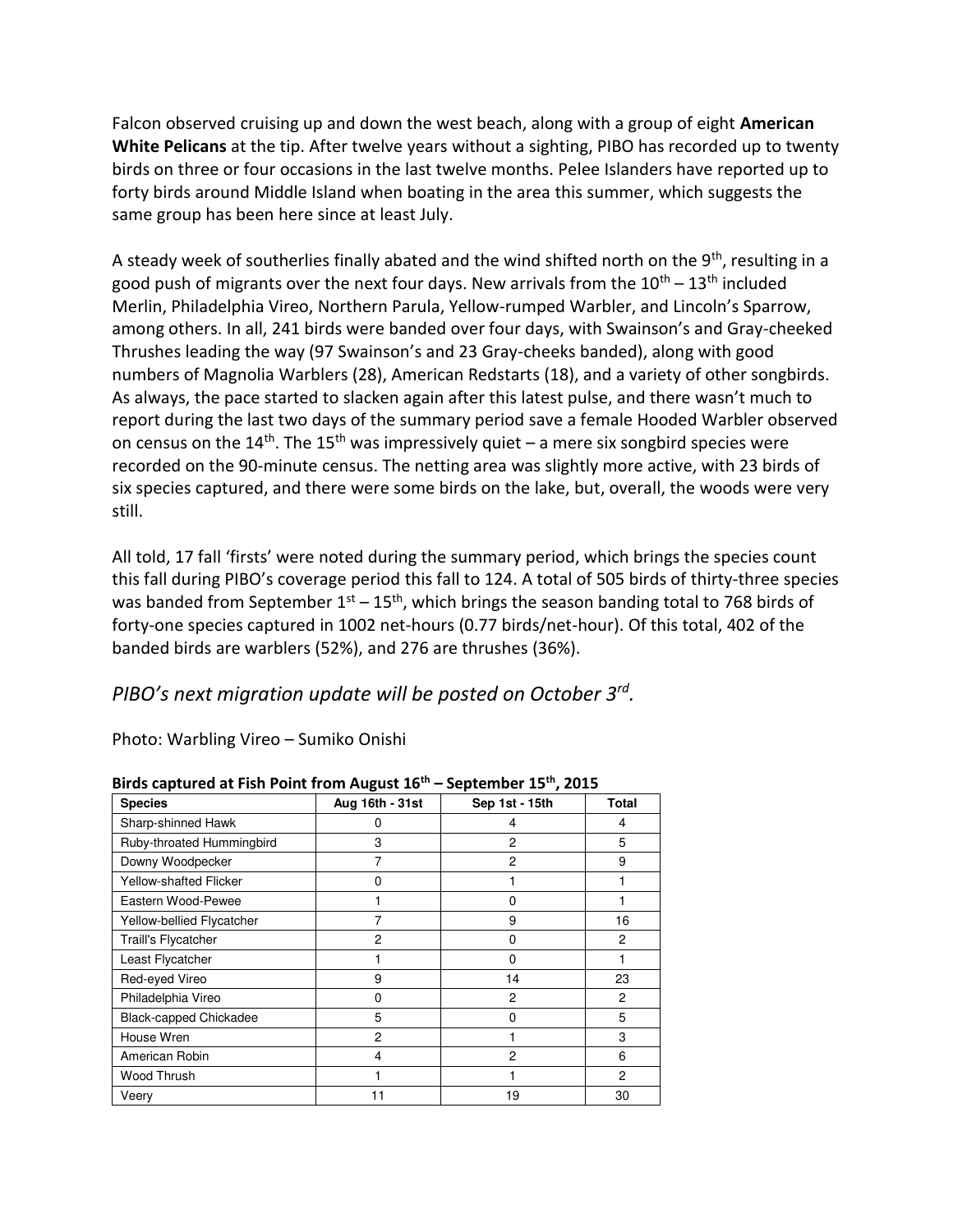Falcon observed cruising up and down the west beach, along with a group of eight **American White Pelicans** at the tip. After twelve years without a sighting, PIBO has recorded up to twenty birds on three or four occasions in the last twelve months. Pelee Islanders have reported up to forty birds around Middle Island when boating in the area this summer, which suggests the same group has been here since at least July.

A steady week of southerlies finally abated and the wind shifted north on the  $9<sup>th</sup>$ , resulting in a good push of migrants over the next four days. New arrivals from the  $10^{th}$  –  $13^{th}$  included Merlin, Philadelphia Vireo, Northern Parula, Yellow-rumped Warbler, and Lincoln's Sparrow, among others. In all, 241 birds were banded over four days, with Swainson's and Gray-cheeked Thrushes leading the way (97 Swainson's and 23 Gray-cheeks banded), along with good numbers of Magnolia Warblers (28), American Redstarts (18), and a variety of other songbirds. As always, the pace started to slacken again after this latest pulse, and there wasn't much to report during the last two days of the summary period save a female Hooded Warbler observed on census on the  $14^{\text{th}}$ . The  $15^{\text{th}}$  was impressively quiet – a mere six songbird species were recorded on the 90-minute census. The netting area was slightly more active, with 23 birds of six species captured, and there were some birds on the lake, but, overall, the woods were very still.

All told, 17 fall 'firsts' were noted during the summary period, which brings the species count this fall during PIBO's coverage period this fall to 124. A total of 505 birds of thirty-three species was banded from September  $1^{st}$  –  $15^{th}$ , which brings the season banding total to 768 birds of forty-one species captured in 1002 net-hours (0.77 birds/net-hour). Of this total, 402 of the banded birds are warblers (52%), and 276 are thrushes (36%).

## *PIBO's next migration update will be posted on October 3rd .*

Photo: Warbling Vireo – Sumiko Onishi

|                               |                 | 5565.000.100 1000 |                |
|-------------------------------|-----------------|-------------------|----------------|
| <b>Species</b>                | Aug 16th - 31st | Sep 1st - 15th    | <b>Total</b>   |
| Sharp-shinned Hawk            | 0               | 4                 | 4              |
| Ruby-throated Hummingbird     | 3               | $\overline{2}$    | 5              |
| Downy Woodpecker              | 7               | $\overline{2}$    | 9              |
| <b>Yellow-shafted Flicker</b> | 0               |                   |                |
| Eastern Wood-Pewee            |                 | O                 |                |
| Yellow-bellied Flycatcher     | 7               | 9                 | 16             |
| Traill's Flycatcher           | $\overline{2}$  | $\Omega$          | 2              |
| Least Flycatcher              |                 | $\Omega$          |                |
| Red-eyed Vireo                | 9               | 14                | 23             |
| Philadelphia Vireo            | 0               | 2                 | $\overline{2}$ |
| <b>Black-capped Chickadee</b> | 5               | $\Omega$          | 5              |
| House Wren                    | $\overline{2}$  |                   | 3              |
| American Robin                | 4               | $\overline{2}$    | 6              |
| Wood Thrush                   |                 |                   | $\mathbf{2}$   |
| Veery                         | 11              | 19                | 30             |

**Birds captured at Fish Point from August 16th – September 15th, 2015**